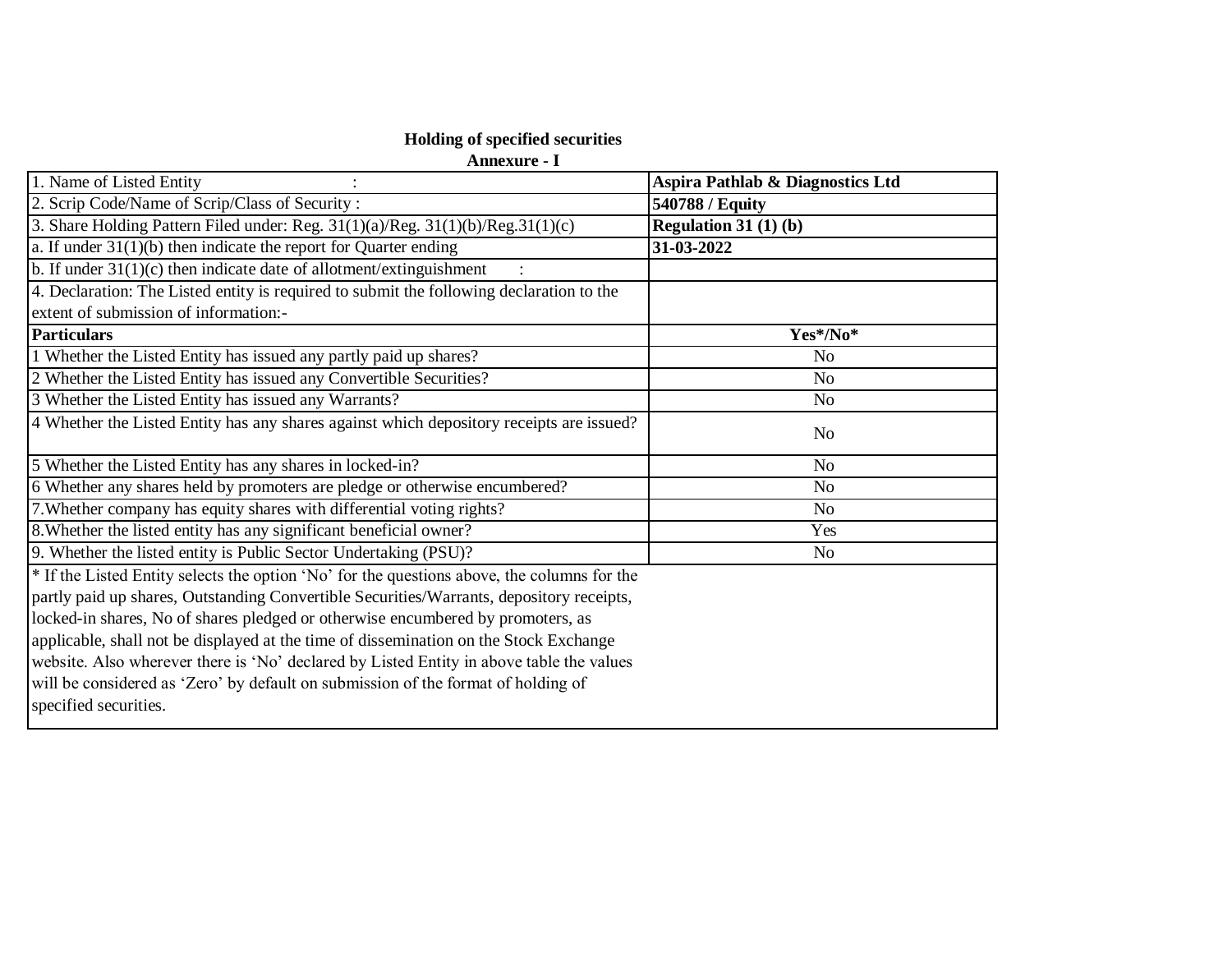## **Holding of specified securities**

**Annexure - I**

| 1. Name of Listed Entity                                                                    | Aspira Pathlab & Diagnostics Ltd |
|---------------------------------------------------------------------------------------------|----------------------------------|
| 2. Scrip Code/Name of Scrip/Class of Security :                                             | 540788 / Equity                  |
| 3. Share Holding Pattern Filed under: Reg. 31(1)(a)/Reg. 31(1)(b)/Reg.31(1)(c)              | Regulation 31 $(1)$ (b)          |
| a. If under $31(1)(b)$ then indicate the report for Quarter ending                          | 31-03-2022                       |
| b. If under $31(1)(c)$ then indicate date of allotment/extinguishment                       |                                  |
| 4. Declaration: The Listed entity is required to submit the following declaration to the    |                                  |
| extent of submission of information:-                                                       |                                  |
| <b>Particulars</b>                                                                          | Yes*/No*                         |
| 1 Whether the Listed Entity has issued any partly paid up shares?                           | N <sub>o</sub>                   |
| 2 Whether the Listed Entity has issued any Convertible Securities?                          | N <sub>o</sub>                   |
| 3 Whether the Listed Entity has issued any Warrants?                                        | N <sub>o</sub>                   |
| 4 Whether the Listed Entity has any shares against which depository receipts are issued?    | N <sub>o</sub>                   |
| 5 Whether the Listed Entity has any shares in locked-in?                                    | N <sub>o</sub>                   |
| 6 Whether any shares held by promoters are pledge or otherwise encumbered?                  | No                               |
| 7. Whether company has equity shares with differential voting rights?                       | N <sub>o</sub>                   |
| 8. Whether the listed entity has any significant beneficial owner?                          | Yes                              |
| 9. Whether the listed entity is Public Sector Undertaking (PSU)?                            | N <sub>o</sub>                   |
| * If the Listed Entity selects the option 'No' for the questions above, the columns for the |                                  |
| partly paid up shares, Outstanding Convertible Securities/Warrants, depository receipts,    |                                  |
| locked-in shares, No of shares pledged or otherwise encumbered by promoters, as             |                                  |
| applicable, shall not be displayed at the time of dissemination on the Stock Exchange       |                                  |
| website. Also wherever there is 'No' declared by Listed Entity in above table the values    |                                  |
| will be considered as 'Zero' by default on submission of the format of holding of           |                                  |
| specified securities.                                                                       |                                  |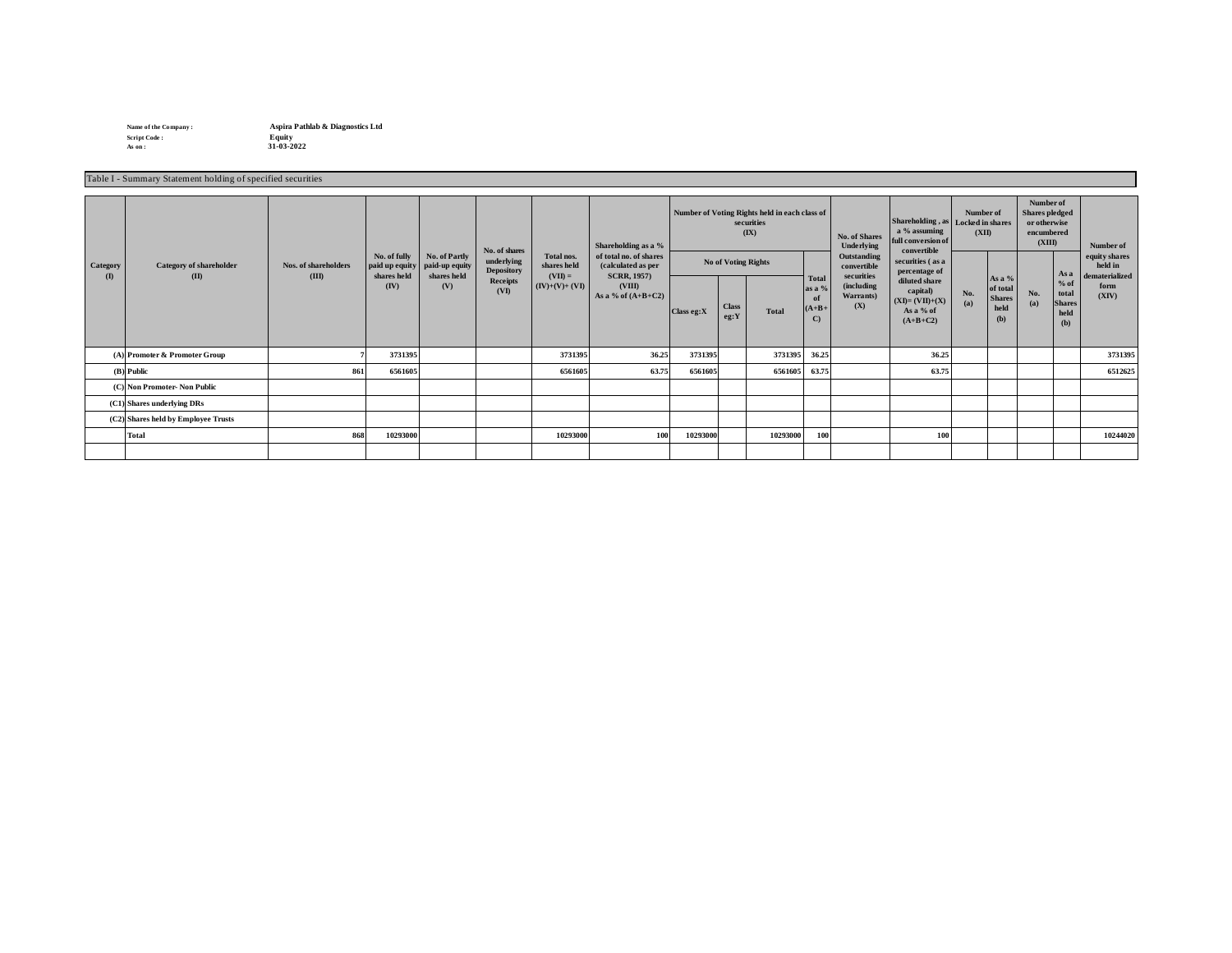$\operatorname{Script} \operatorname{Code} :$  **As on :** 

**Name of the Company : Aspira Pathlab & Diagnostics Ltd**

**As on : 31-03-2022**

|                          | Table I - Summary Statement holding of specified securities |                               |                                                                  |                                                       |                                                                      |                                                           |                                                                                                                             |               |                      |                                                                     |                                                         |               |                                                                                                                                                                                                                                                                       |                                                         |                                                    |                                                                            |                                                         |                                                             |
|--------------------------|-------------------------------------------------------------|-------------------------------|------------------------------------------------------------------|-------------------------------------------------------|----------------------------------------------------------------------|-----------------------------------------------------------|-----------------------------------------------------------------------------------------------------------------------------|---------------|----------------------|---------------------------------------------------------------------|---------------------------------------------------------|---------------|-----------------------------------------------------------------------------------------------------------------------------------------------------------------------------------------------------------------------------------------------------------------------|---------------------------------------------------------|----------------------------------------------------|----------------------------------------------------------------------------|---------------------------------------------------------|-------------------------------------------------------------|
|                          | Category of shareholder<br>(II)                             |                               |                                                                  | No. of Partly<br>paid-up equity<br>shares held<br>(V) | No. of shares<br>underlying<br><b>Depository</b><br>Receipts<br>(VI) | Total nos.<br>shares held<br>$(VII) =$<br>$(IV)+(V)+(VI)$ | Shareholding as a %<br>of total no. of shares<br>(calculated as per<br><b>SCRR, 1957)</b><br>(VIII)<br>As a % of $(A+B+C2)$ |               |                      | Number of Voting Rights held in each class of<br>securities<br>(IX) |                                                         | No. of Shares | a % assuming<br>full conversion of<br><b>Underlying</b><br>convertible<br>Outstanding<br>securities (as a<br>convertible<br>percentage of<br>securities<br>diluted share<br>(including<br>capital)<br>Warrants)<br>$(XI)=(VII)+(X)$<br>(X)<br>As a % of<br>$(A+B+C2)$ | Number of<br>Shareholding, as Locked in shares<br>(XID) |                                                    | Number of<br><b>Shares</b> pledged<br>or otherwise<br>encumbered<br>(XIII) |                                                         | Number of                                                   |
| Category<br>$\mathbf{I}$ |                                                             | Nos. of shareholders<br>(III) | No. of fully<br>paid up equity<br>shares held<br>$(\mathbf{IV})$ |                                                       |                                                                      |                                                           |                                                                                                                             | Class eg: $X$ | <b>Class</b><br>eg:Y | No of Voting Rights<br><b>Total</b>                                 | <b>Total</b><br>as a %<br>of<br>$(A+B+$<br>$\mathbf{C}$ |               |                                                                                                                                                                                                                                                                       | No.<br>(a)                                              | As a %<br>of total<br><b>Shares</b><br>held<br>(b) | No.<br>(a)                                                                 | As a<br>$%$ of<br>total<br><b>Shares</b><br>held<br>(b) | equity shares<br>held in<br>dematerialized<br>form<br>(XIV) |
|                          | (A) Promoter & Promoter Group                               |                               | 3731395                                                          |                                                       |                                                                      | 3731395                                                   | 36.25                                                                                                                       | 3731395       |                      | 3731395                                                             | 36.25                                                   |               | 36.25                                                                                                                                                                                                                                                                 |                                                         |                                                    |                                                                            |                                                         | 3731395                                                     |
|                          | $(B)$ Public                                                | 861                           | 6561605                                                          |                                                       |                                                                      | 6561605                                                   | 63.75                                                                                                                       | 6561605       |                      | 6561605                                                             | 63.75                                                   |               | 63.75                                                                                                                                                                                                                                                                 |                                                         |                                                    |                                                                            |                                                         | 6512625                                                     |
|                          | (C) Non Promoter-Non Public                                 |                               |                                                                  |                                                       |                                                                      |                                                           |                                                                                                                             |               |                      |                                                                     |                                                         |               |                                                                                                                                                                                                                                                                       |                                                         |                                                    |                                                                            |                                                         |                                                             |
|                          | (C1) Shares underlying DRs                                  |                               |                                                                  |                                                       |                                                                      |                                                           |                                                                                                                             |               |                      |                                                                     |                                                         |               |                                                                                                                                                                                                                                                                       |                                                         |                                                    |                                                                            |                                                         |                                                             |
|                          | (C2) Shares held by Employee Trusts                         |                               |                                                                  |                                                       |                                                                      |                                                           |                                                                                                                             |               |                      |                                                                     |                                                         |               |                                                                                                                                                                                                                                                                       |                                                         |                                                    |                                                                            |                                                         |                                                             |
|                          | Total                                                       | 868                           | 10293000                                                         |                                                       |                                                                      | 10293000                                                  | 100                                                                                                                         | 10293000      |                      | 10293000                                                            | 100                                                     |               | 100                                                                                                                                                                                                                                                                   |                                                         |                                                    |                                                                            |                                                         | 10244020                                                    |
|                          |                                                             |                               |                                                                  |                                                       |                                                                      |                                                           |                                                                                                                             |               |                      |                                                                     |                                                         |               |                                                                                                                                                                                                                                                                       |                                                         |                                                    |                                                                            |                                                         |                                                             |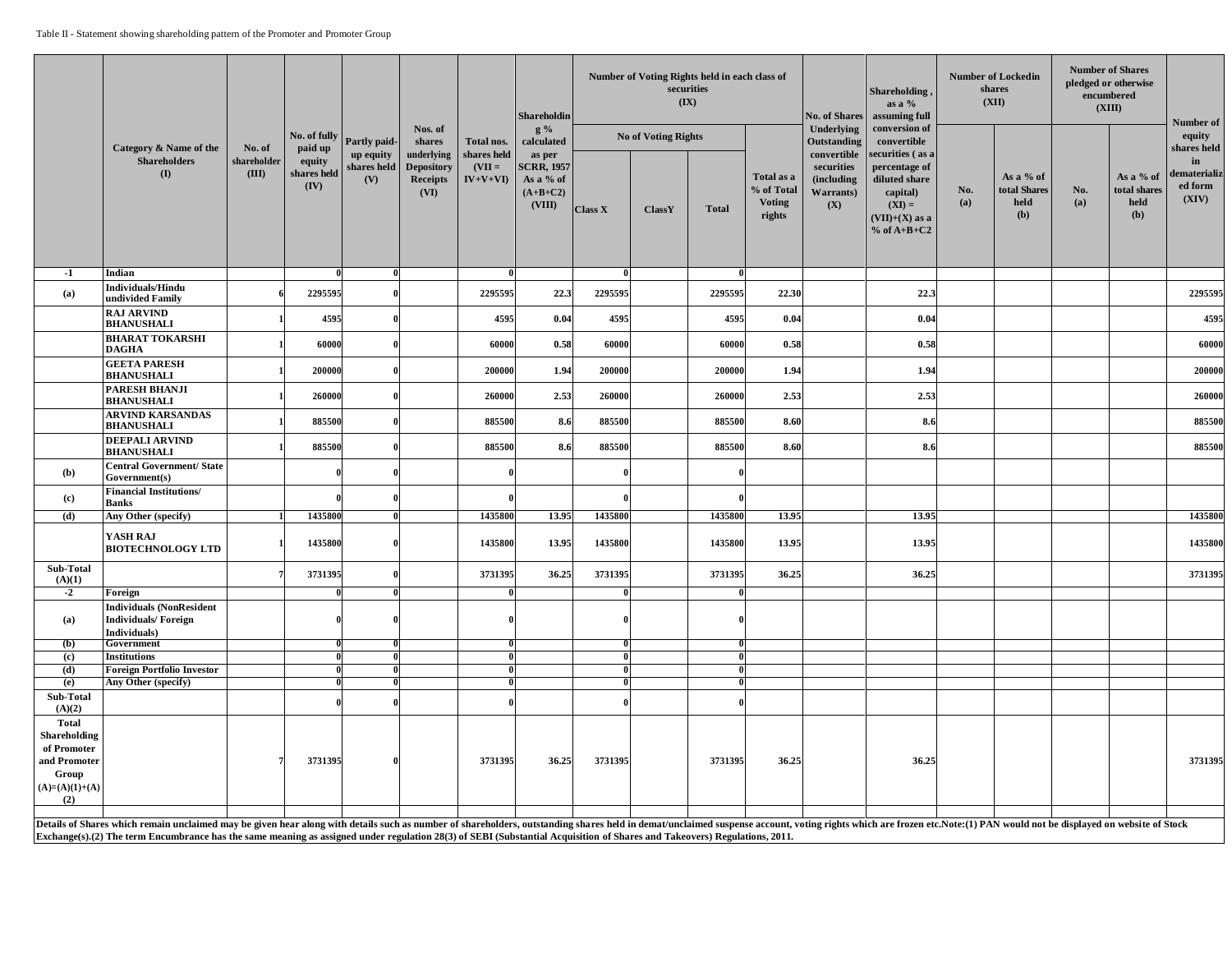|                                                                                                 |                                                                                                                                                                                                                                                                                                                                                                                                             |                                |                                          |                                 |                                                            |                                      | Shareholdin                                                      |                            | Number of Voting Rights held in each class of<br>securities<br>(IX) |                 |                                                     | <b>No. of Shares</b>                                         | Shareholding,<br>as a %<br>assuming full                                                                        |            | <b>Number of Lockedin</b><br>shares<br>(XII) |            | <b>Number of Shares</b><br>pledged or otherwise<br>encumbered<br>(XIII) | Number of                                             |
|-------------------------------------------------------------------------------------------------|-------------------------------------------------------------------------------------------------------------------------------------------------------------------------------------------------------------------------------------------------------------------------------------------------------------------------------------------------------------------------------------------------------------|--------------------------------|------------------------------------------|---------------------------------|------------------------------------------------------------|--------------------------------------|------------------------------------------------------------------|----------------------------|---------------------------------------------------------------------|-----------------|-----------------------------------------------------|--------------------------------------------------------------|-----------------------------------------------------------------------------------------------------------------|------------|----------------------------------------------|------------|-------------------------------------------------------------------------|-------------------------------------------------------|
|                                                                                                 |                                                                                                                                                                                                                                                                                                                                                                                                             |                                | No. of fully                             | Partly paid-                    | Nos. of<br>shares                                          | Total nos.                           | $g\%$<br>calculated                                              | <b>No of Voting Rights</b> |                                                                     |                 |                                                     | Underlying<br>Outstanding                                    | conversion of<br>convertible                                                                                    |            |                                              |            |                                                                         | equity                                                |
|                                                                                                 | Category & Name of the<br><b>Shareholders</b><br>(I)                                                                                                                                                                                                                                                                                                                                                        | No. of<br>shareholder<br>(III) | paid up<br>equity<br>shares held<br>(IV) | up equity<br>shares held<br>(V) | underlying<br><b>Depository</b><br><b>Receipts</b><br>(VI) | shares held<br>$(VII =$<br>$IV+V+VI$ | as per<br><b>SCRR, 1957</b><br>As a % of<br>$(A+B+C2)$<br>(VIII) | <b>Class X</b>             | <b>ClassY</b>                                                       | <b>Total</b>    | Total as a<br>% of Total<br><b>Voting</b><br>rights | convertible<br>securities<br>(including)<br>Warrants)<br>(X) | securities (as a<br>percentage of<br>diluted share<br>capital)<br>$(XI) =$<br>$(VII)+(X)$ as a<br>$%$ of A+B+C2 | No.<br>(a) | As a % of<br>total Shares<br>held<br>(b)     | No.<br>(a) | As a % of<br>total shares<br>held<br>(b)                                | shares held<br>in<br>lematerializ<br>ed form<br>(XIV) |
| $-1$                                                                                            | Indian<br><b>Individuals/Hindu</b>                                                                                                                                                                                                                                                                                                                                                                          |                                |                                          | $\theta$                        |                                                            |                                      |                                                                  |                            |                                                                     |                 |                                                     |                                                              |                                                                                                                 |            |                                              |            |                                                                         |                                                       |
| (a)                                                                                             | undivided Family<br><b>RAJ ARVIND</b>                                                                                                                                                                                                                                                                                                                                                                       |                                | 2295595<br>4595                          | $\mathbf{0}$                    |                                                            | 2295595<br>4595                      | 22.3<br>0.04                                                     | 2295595<br>4595            |                                                                     | 2295595<br>4595 | 22.30<br>0.04                                       |                                                              | 22.3<br>0.04                                                                                                    |            |                                              |            |                                                                         | 2295595<br>4595                                       |
|                                                                                                 | <b>BHANUSHALI</b><br><b>BHARAT TOKARSHI</b>                                                                                                                                                                                                                                                                                                                                                                 |                                |                                          | $\mathbf{0}$                    |                                                            |                                      |                                                                  |                            |                                                                     |                 |                                                     |                                                              |                                                                                                                 |            |                                              |            |                                                                         |                                                       |
|                                                                                                 | <b>DAGHA</b><br><b>GEETA PARESH</b>                                                                                                                                                                                                                                                                                                                                                                         |                                | 60000                                    |                                 |                                                            | 60000                                | 0.58                                                             | 60000                      |                                                                     | 60000           | 0.58                                                |                                                              | 0.58                                                                                                            |            |                                              |            |                                                                         | 60000                                                 |
|                                                                                                 | <b>BHANUSHALI</b><br><b>PARESH BHANJI</b>                                                                                                                                                                                                                                                                                                                                                                   |                                | 200000                                   | $\theta$                        |                                                            | 200000                               | 1.94                                                             | 200000                     |                                                                     | 200000          | 1.94                                                |                                                              | 1.94                                                                                                            |            |                                              |            |                                                                         | 200000                                                |
|                                                                                                 | <b>BHANUSHALI</b><br><b>ARVIND KARSANDAS</b>                                                                                                                                                                                                                                                                                                                                                                |                                | 260000                                   |                                 |                                                            | 260000                               | 2.53                                                             | 260000                     |                                                                     | 260000          | 2.53                                                |                                                              | 2.53                                                                                                            |            |                                              |            |                                                                         | 260000                                                |
|                                                                                                 | <b>BHANUSHALI</b>                                                                                                                                                                                                                                                                                                                                                                                           |                                | 885500                                   | $\mathbf{0}$                    |                                                            | 885500                               | 8.6                                                              | 885500                     |                                                                     | 885500          | 8.60                                                |                                                              | 8.6                                                                                                             |            |                                              |            |                                                                         | 885500                                                |
|                                                                                                 | <b>DEEPALI ARVIND</b><br><b>BHANUSHALI</b>                                                                                                                                                                                                                                                                                                                                                                  |                                | 885500                                   | $\mathbf{0}$                    |                                                            | 885500                               | 8.6                                                              | 885500                     |                                                                     | 885500          | 8.60                                                |                                                              | 8.6                                                                                                             |            |                                              |            |                                                                         | 885500                                                |
| (b)                                                                                             | <b>Central Government/ State</b><br>Government(s)                                                                                                                                                                                                                                                                                                                                                           |                                |                                          |                                 |                                                            |                                      |                                                                  |                            |                                                                     |                 |                                                     |                                                              |                                                                                                                 |            |                                              |            |                                                                         |                                                       |
| (c)                                                                                             | <b>Financial Institutions/</b><br><b>Banks</b>                                                                                                                                                                                                                                                                                                                                                              |                                |                                          |                                 |                                                            |                                      |                                                                  |                            |                                                                     |                 |                                                     |                                                              |                                                                                                                 |            |                                              |            |                                                                         |                                                       |
| (d)                                                                                             | Any Other (specify)                                                                                                                                                                                                                                                                                                                                                                                         |                                | 1435800                                  | $\bf{0}$                        |                                                            | 1435800                              | 13.95                                                            | 1435800                    |                                                                     | 1435800         | 13.95                                               |                                                              | 13.95                                                                                                           |            |                                              |            |                                                                         | 1435800                                               |
|                                                                                                 | YASH RAJ<br><b>BIOTECHNOLOGY LTD</b>                                                                                                                                                                                                                                                                                                                                                                        |                                | 1435800                                  | $\mathbf{0}$                    |                                                            | 1435800                              | 13.95                                                            | 1435800                    |                                                                     | 1435800         | 13.95                                               |                                                              | 13.95                                                                                                           |            |                                              |            |                                                                         | 1435800                                               |
| Sub-Total<br>(A)(1)                                                                             |                                                                                                                                                                                                                                                                                                                                                                                                             |                                | 3731395                                  | $\mathbf{0}$                    |                                                            | 3731395                              | 36.25                                                            | 3731395                    |                                                                     | 3731395         | 36.25                                               |                                                              | 36.25                                                                                                           |            |                                              |            |                                                                         | 3731395                                               |
| $-2$                                                                                            | Foreign                                                                                                                                                                                                                                                                                                                                                                                                     |                                |                                          | $\theta$                        |                                                            |                                      |                                                                  |                            |                                                                     |                 |                                                     |                                                              |                                                                                                                 |            |                                              |            |                                                                         |                                                       |
| (a)                                                                                             | <b>Individuals (NonResident</b><br><b>Individuals/Foreign</b><br>Individuals)                                                                                                                                                                                                                                                                                                                               |                                |                                          |                                 |                                                            |                                      |                                                                  |                            |                                                                     |                 |                                                     |                                                              |                                                                                                                 |            |                                              |            |                                                                         |                                                       |
| (b)                                                                                             | Government                                                                                                                                                                                                                                                                                                                                                                                                  |                                |                                          | $\mathbf{0}$                    |                                                            |                                      |                                                                  |                            |                                                                     |                 |                                                     |                                                              |                                                                                                                 |            |                                              |            |                                                                         |                                                       |
| $\overline{c}$                                                                                  | <b>Institutions</b>                                                                                                                                                                                                                                                                                                                                                                                         |                                |                                          | $\overline{0}$                  |                                                            |                                      |                                                                  |                            |                                                                     |                 |                                                     |                                                              |                                                                                                                 |            |                                              |            |                                                                         |                                                       |
| (d)                                                                                             | <b>Foreign Portfolio Investor</b>                                                                                                                                                                                                                                                                                                                                                                           |                                |                                          | $\mathbf{0}$<br>$\mathbf{0}$    |                                                            |                                      |                                                                  |                            |                                                                     |                 |                                                     |                                                              |                                                                                                                 |            |                                              |            |                                                                         |                                                       |
| (e)<br>Sub-Total                                                                                | Any Other (specify)                                                                                                                                                                                                                                                                                                                                                                                         |                                |                                          |                                 |                                                            |                                      |                                                                  |                            |                                                                     |                 |                                                     |                                                              |                                                                                                                 |            |                                              |            |                                                                         |                                                       |
| (A)(2)                                                                                          |                                                                                                                                                                                                                                                                                                                                                                                                             |                                |                                          |                                 |                                                            |                                      |                                                                  |                            |                                                                     |                 |                                                     |                                                              |                                                                                                                 |            |                                              |            |                                                                         |                                                       |
| <b>Total</b><br>Shareholding<br>of Promoter<br>and Promoter<br>Group<br>$(A)=(A)(1)+(A)$<br>(2) |                                                                                                                                                                                                                                                                                                                                                                                                             |                                | 3731395                                  |                                 |                                                            | 3731395                              | 36.25                                                            | 3731395                    |                                                                     | 3731395         | 36.25                                               |                                                              | 36.25                                                                                                           |            |                                              |            |                                                                         | 3731395                                               |
|                                                                                                 |                                                                                                                                                                                                                                                                                                                                                                                                             |                                |                                          |                                 |                                                            |                                      |                                                                  |                            |                                                                     |                 |                                                     |                                                              |                                                                                                                 |            |                                              |            |                                                                         |                                                       |
|                                                                                                 | Details of Shares which remain unclaimed may be given hear along with details such as number of shareholders, outstanding shares held in demat/unclaimed suspense account, voting rights which are frozen etc. Note: (1) PAN w<br>Exchange(s).(2) The term Encumbrance has the same meaning as assigned under regulation 28(3) of SEBI (Substantial Acquisition of Shares and Takeovers) Regulations, 2011. |                                |                                          |                                 |                                                            |                                      |                                                                  |                            |                                                                     |                 |                                                     |                                                              |                                                                                                                 |            |                                              |            |                                                                         |                                                       |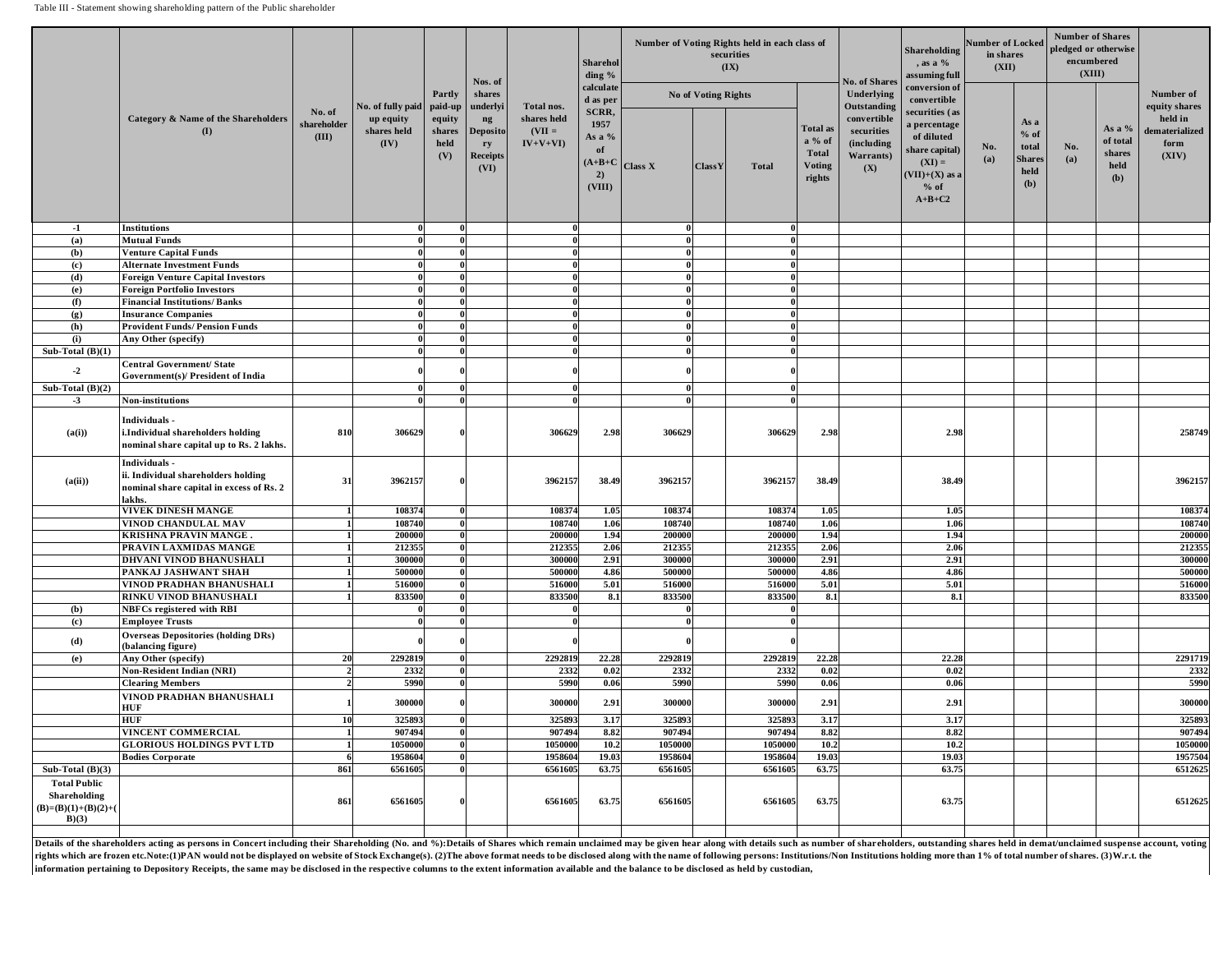|                                                                     |                                                                                                            |                                |                                                       |                                            | Nos. of                                                            |                                                    | Sharehol<br>ding %<br>calculate<br>d as per<br>SCRR,<br>1957<br>As a %<br>of<br>$(A+B+C)$<br>2)<br>(VIII) |                |                            | Number of Voting Rights held in each class of<br>securities<br>(IX) |                                                                      | <b>No. of Shares</b>                                                               | <b>Shareholding</b><br>, as a %<br>assuming full                                                                     | <b>Number of Locked</b><br>in shares<br>(XII) |                                                         | <b>Number of Shares</b><br>pledged or otherwise<br>encumbered<br>(XIII) |                                               |                                                             |
|---------------------------------------------------------------------|------------------------------------------------------------------------------------------------------------|--------------------------------|-------------------------------------------------------|--------------------------------------------|--------------------------------------------------------------------|----------------------------------------------------|-----------------------------------------------------------------------------------------------------------|----------------|----------------------------|---------------------------------------------------------------------|----------------------------------------------------------------------|------------------------------------------------------------------------------------|----------------------------------------------------------------------------------------------------------------------|-----------------------------------------------|---------------------------------------------------------|-------------------------------------------------------------------------|-----------------------------------------------|-------------------------------------------------------------|
|                                                                     |                                                                                                            |                                |                                                       | Partly                                     | shares                                                             |                                                    |                                                                                                           |                | <b>No of Voting Rights</b> |                                                                     | Underlying                                                           | conversion of<br>convertible                                                       |                                                                                                                      |                                               |                                                         |                                                                         | Number of                                     |                                                             |
|                                                                     | Category & Name of the Shareholders<br>(I)                                                                 | No. of<br>shareholder<br>(III) | No. of fully paid<br>up equity<br>shares held<br>(IV) | paid-up<br>equity<br>shares<br>held<br>(V) | underlyi<br>ng<br><b>Deposito</b><br>ry<br><b>Receipts</b><br>(VI) | Total nos.<br>shares held<br>$(VII =$<br>$IV+V+VI$ |                                                                                                           | <b>Class X</b> | Class Y                    | <b>Total</b>                                                        | <b>Total as</b><br>a % of<br><b>Total</b><br><b>Voting</b><br>rights | Outstanding<br>convertible<br>securities<br><i>(including)</i><br>Warrants)<br>(X) | securities (as<br>a percentage<br>of diluted<br>share capital)<br>$(XI) =$<br>$(VII)+(X)$ as a<br>$%$ of<br>$A+B+C2$ | No.<br>(a)                                    | As a<br>$%$ of<br>total<br><b>Shares</b><br>held<br>(b) | No.<br>(a)                                                              | As a $%$<br>of total<br>shares<br>held<br>(b) | equity shares<br>held in<br>dematerialized<br>form<br>(XIV) |
| $-1$                                                                | <b>Institutions</b><br><b>Mutual Funds</b>                                                                 |                                |                                                       |                                            |                                                                    |                                                    |                                                                                                           | $\Omega$       |                            | $\mathbf{0}$<br>$\theta$                                            |                                                                      |                                                                                    |                                                                                                                      |                                               |                                                         |                                                                         |                                               |                                                             |
| (a)<br>(b)                                                          | <b>Venture Capital Funds</b>                                                                               |                                |                                                       |                                            |                                                                    |                                                    |                                                                                                           |                |                            | $\theta$                                                            |                                                                      |                                                                                    |                                                                                                                      |                                               |                                                         |                                                                         |                                               |                                                             |
| (c)                                                                 | <b>Alternate Investment Funds</b>                                                                          |                                |                                                       |                                            |                                                                    |                                                    |                                                                                                           |                |                            | $\bf{0}$                                                            |                                                                      |                                                                                    |                                                                                                                      |                                               |                                                         |                                                                         |                                               |                                                             |
| (d)                                                                 | <b>Foreign Venture Capital Investors</b>                                                                   |                                | $\Omega$                                              |                                            |                                                                    | $\theta$                                           |                                                                                                           | 0              |                            | $\mathbf{0}$                                                        |                                                                      |                                                                                    |                                                                                                                      |                                               |                                                         |                                                                         |                                               |                                                             |
| (e)                                                                 | <b>Foreign Portfolio Investors</b>                                                                         |                                |                                                       |                                            |                                                                    |                                                    |                                                                                                           |                |                            | $\overline{\mathbf{0}}$                                             |                                                                      |                                                                                    |                                                                                                                      |                                               |                                                         |                                                                         |                                               |                                                             |
| (f)                                                                 | <b>Financial Institutions/Banks</b>                                                                        |                                |                                                       |                                            |                                                                    | $\theta$                                           |                                                                                                           |                |                            | $\bf{0}$                                                            |                                                                      |                                                                                    |                                                                                                                      |                                               |                                                         |                                                                         |                                               |                                                             |
| (g)                                                                 | <b>Insurance Companies</b>                                                                                 |                                |                                                       |                                            |                                                                    |                                                    |                                                                                                           |                |                            | $\bf{0}$                                                            |                                                                      |                                                                                    |                                                                                                                      |                                               |                                                         |                                                                         |                                               |                                                             |
| (h)                                                                 | <b>Provident Funds/Pension Funds</b>                                                                       |                                |                                                       |                                            |                                                                    |                                                    |                                                                                                           |                |                            | $\mathbf{0}$                                                        |                                                                      |                                                                                    |                                                                                                                      |                                               |                                                         |                                                                         |                                               |                                                             |
| (i)                                                                 | Any Other (specify)                                                                                        |                                |                                                       |                                            |                                                                    |                                                    |                                                                                                           |                |                            | $\bf{0}$                                                            |                                                                      |                                                                                    |                                                                                                                      |                                               |                                                         |                                                                         |                                               |                                                             |
| Sub-Total $(B)(1)$                                                  |                                                                                                            |                                |                                                       |                                            |                                                                    |                                                    |                                                                                                           |                |                            | $\bf{0}$                                                            |                                                                      |                                                                                    |                                                                                                                      |                                               |                                                         |                                                                         |                                               |                                                             |
| $-2$                                                                | <b>Central Government/ State</b><br><b>Government(s)/ President of India</b>                               |                                |                                                       |                                            |                                                                    |                                                    |                                                                                                           |                |                            |                                                                     |                                                                      |                                                                                    |                                                                                                                      |                                               |                                                         |                                                                         |                                               |                                                             |
| Sub-Total $(B)(2)$                                                  |                                                                                                            |                                |                                                       |                                            |                                                                    |                                                    |                                                                                                           |                |                            | $\mathbf{0}$                                                        |                                                                      |                                                                                    |                                                                                                                      |                                               |                                                         |                                                                         |                                               |                                                             |
| $-3$                                                                | Non-institutions                                                                                           |                                |                                                       |                                            |                                                                    |                                                    |                                                                                                           |                |                            |                                                                     |                                                                      |                                                                                    |                                                                                                                      |                                               |                                                         |                                                                         |                                               |                                                             |
| (a(i))                                                              | Individuals -<br>i.Individual shareholders holding<br>nominal share capital up to Rs. 2 lakhs.             | 810                            | 306629                                                |                                            |                                                                    | 306629                                             | 2.98                                                                                                      | 306629         |                            | 306629                                                              | 2.98                                                                 |                                                                                    | 2.98                                                                                                                 |                                               |                                                         |                                                                         |                                               | 258749                                                      |
| (a(ii))                                                             | Individuals -<br>ii. Individual shareholders holding<br>nominal share capital in excess of Rs. 2<br>lakhs. | 31                             | 3962157                                               |                                            |                                                                    | 3962157                                            | 38.49                                                                                                     | 3962157        |                            | 3962157                                                             | 38.49                                                                |                                                                                    | 38.49                                                                                                                |                                               |                                                         |                                                                         |                                               | 3962157                                                     |
|                                                                     | <b>VIVEK DINESH MANGE</b>                                                                                  |                                | 10837                                                 |                                            |                                                                    | 108374                                             | 1.05                                                                                                      | 108374         |                            | 108374                                                              | 1.05                                                                 |                                                                                    | 1.05                                                                                                                 |                                               |                                                         |                                                                         |                                               | 108374                                                      |
|                                                                     | VINOD CHANDULAL MAV                                                                                        |                                | 108740                                                |                                            |                                                                    | 108740                                             | 1.06                                                                                                      | 108740         |                            | 108740                                                              | 1.06                                                                 |                                                                                    | 1.06                                                                                                                 |                                               |                                                         |                                                                         |                                               | 108740                                                      |
|                                                                     | <b>KRISHNA PRAVIN MANGE.</b>                                                                               |                                | 200000                                                |                                            |                                                                    | 200000                                             | 1.94                                                                                                      | 200000         |                            | 200000                                                              | 1.94                                                                 |                                                                                    | 1.94                                                                                                                 |                                               |                                                         |                                                                         |                                               | 200000                                                      |
|                                                                     | PRAVIN LAXMIDAS MANGE                                                                                      |                                | 21235                                                 |                                            |                                                                    | 212355                                             | 2.06                                                                                                      | 212355         |                            | 21235:                                                              | 2.06                                                                 |                                                                                    | 2.06                                                                                                                 |                                               |                                                         |                                                                         |                                               | 212355                                                      |
|                                                                     | DHVANI VINOD BHANUSHALI                                                                                    |                                | 30000                                                 |                                            |                                                                    | 30000                                              | 2.91                                                                                                      | 300000         |                            | 300000                                                              | 2.91                                                                 |                                                                                    | 2.91                                                                                                                 |                                               |                                                         |                                                                         |                                               | 300000                                                      |
|                                                                     | PANKAJ JASHWANT SHAH                                                                                       |                                | 500000                                                |                                            |                                                                    | 500000                                             | 4.86                                                                                                      | 500000         |                            | 500000                                                              | 4.86                                                                 |                                                                                    | 4.86                                                                                                                 |                                               |                                                         |                                                                         |                                               | 500000                                                      |
|                                                                     | VINOD PRADHAN BHANUSHALI                                                                                   |                                | 516000                                                |                                            |                                                                    | 516000                                             | 5.01                                                                                                      | 516000         |                            | 516000                                                              | 5.01                                                                 |                                                                                    | 5.01                                                                                                                 |                                               |                                                         |                                                                         |                                               | 516000                                                      |
|                                                                     | RINKU VINOD BHANUSHALI                                                                                     |                                | 833500                                                |                                            |                                                                    | 833500                                             | 8.1                                                                                                       | 833500         |                            | 833500                                                              | 8.1                                                                  |                                                                                    | 8.1                                                                                                                  |                                               |                                                         |                                                                         |                                               | 833500                                                      |
| (b)                                                                 | <b>NBFCs</b> registered with RBI                                                                           |                                |                                                       |                                            |                                                                    |                                                    |                                                                                                           |                |                            |                                                                     |                                                                      |                                                                                    |                                                                                                                      |                                               |                                                         |                                                                         |                                               |                                                             |
| (c)                                                                 | <b>Employee Trusts</b>                                                                                     |                                |                                                       |                                            |                                                                    |                                                    |                                                                                                           |                |                            | $\mathbf{0}$                                                        |                                                                      |                                                                                    |                                                                                                                      |                                               |                                                         |                                                                         |                                               |                                                             |
| (d)                                                                 | <b>Overseas Depositories (holding DRs)</b><br>(balancing figure)                                           |                                |                                                       |                                            |                                                                    |                                                    |                                                                                                           |                |                            |                                                                     |                                                                      |                                                                                    |                                                                                                                      |                                               |                                                         |                                                                         |                                               |                                                             |
| (e)                                                                 | Any Other (specify)                                                                                        | 20                             | 2292819                                               |                                            |                                                                    | 2292819                                            | 22.28                                                                                                     | 2292819        |                            | 2292819                                                             | 22.28                                                                |                                                                                    | 22.28                                                                                                                |                                               |                                                         |                                                                         |                                               | 2291719                                                     |
|                                                                     | Non-Resident Indian (NRI)                                                                                  |                                | 2332                                                  |                                            |                                                                    | 2332                                               | 0.02                                                                                                      | 2332           |                            | 2332                                                                | 0.02                                                                 |                                                                                    | 0.02                                                                                                                 |                                               |                                                         |                                                                         |                                               | 2332                                                        |
|                                                                     | <b>Clearing Members</b>                                                                                    |                                | 5990                                                  |                                            |                                                                    | 5990                                               | 0.06                                                                                                      | 5990           |                            | 5990                                                                | 0.06                                                                 |                                                                                    | 0.06                                                                                                                 |                                               |                                                         |                                                                         |                                               | 5990                                                        |
|                                                                     | VINOD PRADHAN BHANUSHALI                                                                                   |                                |                                                       |                                            |                                                                    |                                                    |                                                                                                           |                |                            |                                                                     |                                                                      |                                                                                    |                                                                                                                      |                                               |                                                         |                                                                         |                                               |                                                             |
|                                                                     | <b>HUF</b>                                                                                                 |                                | 300000                                                |                                            |                                                                    | 300000                                             | 2.91                                                                                                      | 300000         |                            | 300000                                                              | 2.91                                                                 |                                                                                    | 2.91                                                                                                                 |                                               |                                                         |                                                                         |                                               | 300000                                                      |
|                                                                     | HUF                                                                                                        | -14                            | 32589.                                                |                                            |                                                                    | 325893                                             | 3.17                                                                                                      | 325893         |                            | 325893                                                              | 3.17                                                                 |                                                                                    | 3.17                                                                                                                 |                                               |                                                         |                                                                         |                                               | 325893                                                      |
|                                                                     | VINCENT COMMERCIAL                                                                                         |                                | 907494                                                |                                            |                                                                    | 907494                                             | 8.82                                                                                                      | 907494         |                            | 907494                                                              | 8.82                                                                 |                                                                                    | 8.82                                                                                                                 |                                               |                                                         |                                                                         |                                               | 907494                                                      |
|                                                                     | <b>GLORIOUS HOLDINGS PVT LTD</b>                                                                           |                                | 1050000                                               |                                            |                                                                    | 1050000                                            | 10.2                                                                                                      | 1050000        |                            | 1050000                                                             | 10.2                                                                 |                                                                                    | 10.2                                                                                                                 |                                               |                                                         |                                                                         |                                               | 1050000                                                     |
|                                                                     | <b>Bodies Corporate</b>                                                                                    |                                | 1958604                                               |                                            |                                                                    | 1958604                                            | 19.03                                                                                                     | 1958604        |                            | 1958604                                                             | 19.03                                                                |                                                                                    | 19.03                                                                                                                |                                               |                                                         |                                                                         |                                               | 1957504                                                     |
| Sub-Total $(B)(3)$                                                  |                                                                                                            | 861                            | 656160                                                |                                            |                                                                    | 6561605                                            | 63.75                                                                                                     | 6561605        |                            | 6561605                                                             | 63.75                                                                |                                                                                    | 63.75                                                                                                                |                                               |                                                         |                                                                         |                                               | 6512625                                                     |
| <b>Total Public</b><br>Shareholding<br>$(B)=(B)(1)+(B)(2)+$<br>B(3) |                                                                                                            | 861                            | 6561605                                               |                                            |                                                                    | 6561605                                            | 63.75                                                                                                     | 6561605        |                            | 6561605                                                             | 63.75                                                                |                                                                                    | 63.75                                                                                                                |                                               |                                                         |                                                                         |                                               | 6512625                                                     |
|                                                                     |                                                                                                            |                                |                                                       |                                            |                                                                    |                                                    |                                                                                                           |                |                            |                                                                     |                                                                      |                                                                                    |                                                                                                                      |                                               |                                                         |                                                                         |                                               |                                                             |

Details of the shareholders acting as persons in Concert including their Shareholding (No. and %):Details of Shares which remain unclaimed may be given hear along with details such as number of shareholders, outstanding sh rights which are frozen etc.Note:(1)PAN would not be displayed on website of Stock Exchange(s). (2)The above format needs to be disclosed along with the name of following persons: Institutions/Non Institutions holding more information pertaining to Depository Receipts, the same may be disclosed in the respective columns to the extent information available and the balance to be disclosed as held by custodian,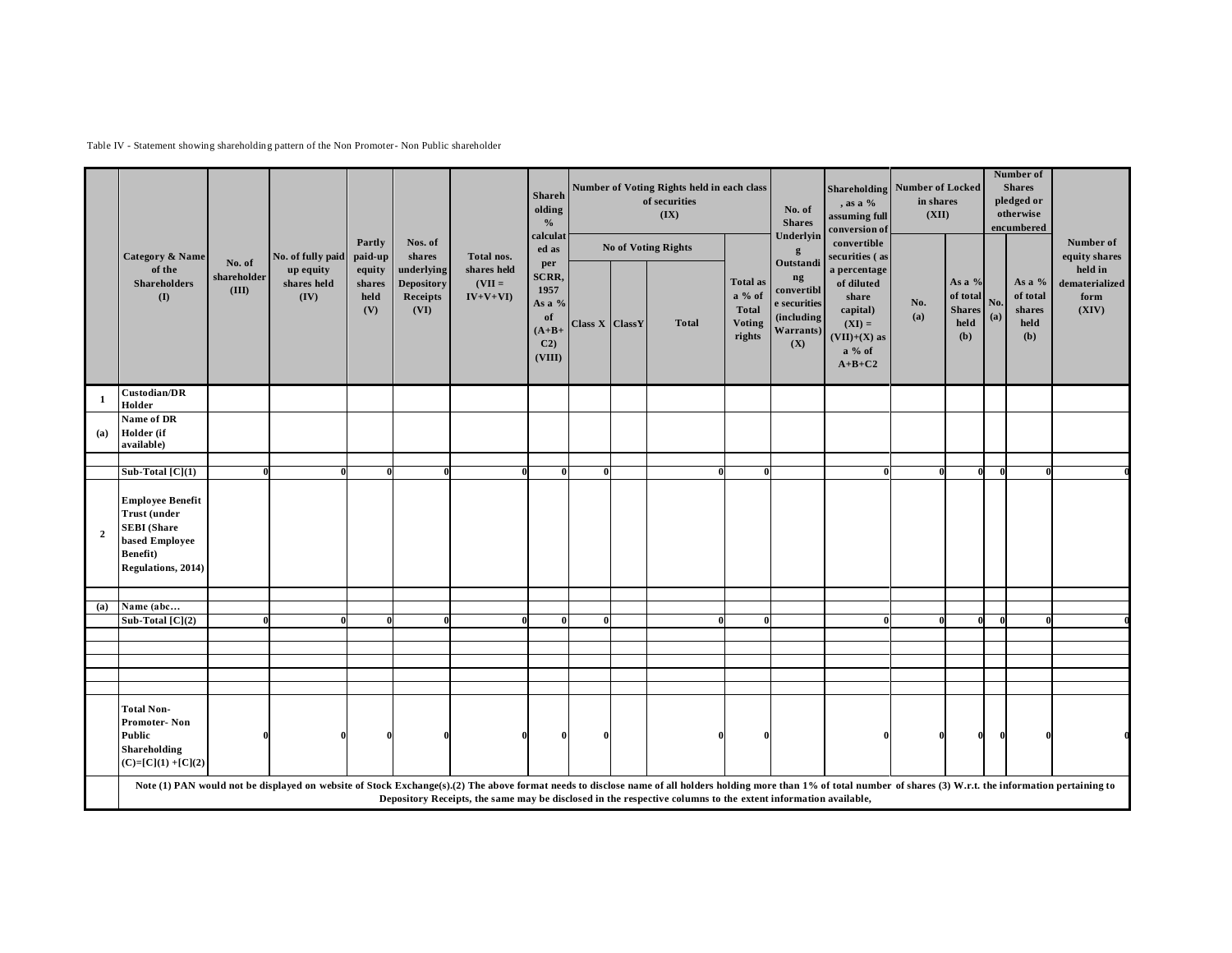## Table IV - Statement showing shareholding pattern of the Non Promoter- Non Public shareholder

|                |                                                                                                                   |                                |                                                                                                                                                                                                                        | Partly<br>paid-up               | Nos. of<br>shares<br>underlying<br><b>Depository</b><br>Receipts<br>(VI) | Total nos.<br>shares held<br>$(VII =$<br>$IV+V+VI$ | Shareh<br>olding<br>$\%$<br>calculat<br>ed as<br>per<br>SCRR,<br>1957<br>As a %<br>of<br>$(A+B -$<br>C <sub>2</sub><br>(VIII) |                   | Number of Voting Rights held in each class<br>of securities<br>(IX)                                           |                                                                                   | No. of<br><b>Shares</b>                                                          | , as a %<br>assuming full<br>conversion of                                                                       | <b>Shareholding Number of Locked</b><br>in shares<br>(XII) |                                                      |              | Number of<br><b>Shares</b><br>pledged or<br>otherwise<br>encumbered |                                            |
|----------------|-------------------------------------------------------------------------------------------------------------------|--------------------------------|------------------------------------------------------------------------------------------------------------------------------------------------------------------------------------------------------------------------|---------------------------------|--------------------------------------------------------------------------|----------------------------------------------------|-------------------------------------------------------------------------------------------------------------------------------|-------------------|---------------------------------------------------------------------------------------------------------------|-----------------------------------------------------------------------------------|----------------------------------------------------------------------------------|------------------------------------------------------------------------------------------------------------------|------------------------------------------------------------|------------------------------------------------------|--------------|---------------------------------------------------------------------|--------------------------------------------|
|                | Category & Name                                                                                                   |                                | No. of fully paid                                                                                                                                                                                                      |                                 |                                                                          |                                                    |                                                                                                                               |                   | <b>No of Voting Rights</b>                                                                                    |                                                                                   | Underlyin<br>g                                                                   | convertible<br>securities (as                                                                                    |                                                            |                                                      |              |                                                                     | Number of<br>equity shares                 |
|                | of the<br><b>Shareholders</b><br>$($ $\Gamma$                                                                     | No. of<br>shareholder<br>(III) | up equity<br>shares held<br>(IV)                                                                                                                                                                                       | equity<br>shares<br>held<br>(V) |                                                                          |                                                    |                                                                                                                               | Class $X$ Class Y | <b>Total</b>                                                                                                  | <b>Total as</b><br>$a \mathrel{\%} of$<br><b>Total</b><br><b>Voting</b><br>rights | Outstandi<br>ng<br>convertibl<br>e securities<br>(including)<br>Warrants)<br>(X) | a percentage<br>of diluted<br>share<br>capital)<br>$(XI) =$<br>$(VII)+(X)$ as<br>$a \mathrel{\%} of$<br>$A+B+C2$ | No.<br>(a)                                                 | As a $%$<br>of total<br><b>Shares</b><br>held<br>(b) | No.<br>(a)   | As a $%$<br>of total<br>shares<br>held<br>(b)                       | held in<br>dematerialized<br>form<br>(XIV) |
| -1             | <b>Custodian/DR</b><br>Holder                                                                                     |                                |                                                                                                                                                                                                                        |                                 |                                                                          |                                                    |                                                                                                                               |                   |                                                                                                               |                                                                                   |                                                                                  |                                                                                                                  |                                                            |                                                      |              |                                                                     |                                            |
| (a)            | Name of DR<br>Holder (if<br>available)                                                                            |                                |                                                                                                                                                                                                                        |                                 |                                                                          |                                                    |                                                                                                                               |                   |                                                                                                               |                                                                                   |                                                                                  |                                                                                                                  |                                                            |                                                      |              |                                                                     |                                            |
|                | Sub-Total $[C](1)$                                                                                                | $\mathbf{0}$                   | $\mathbf{0}$                                                                                                                                                                                                           | $\theta$                        |                                                                          | $\mathbf{0}$                                       | $\overline{0}$                                                                                                                | $\mathbf{0}$      |                                                                                                               | $\Omega$                                                                          |                                                                                  | $\overline{0}$                                                                                                   | $\mathbf{0}$                                               | O                                                    | $\mathbf{0}$ |                                                                     |                                            |
| $\overline{2}$ | <b>Employee Benefit</b><br>Trust (under<br><b>SEBI</b> (Share<br>based Employee<br>Benefit)<br>Regulations, 2014) |                                |                                                                                                                                                                                                                        |                                 |                                                                          |                                                    |                                                                                                                               |                   |                                                                                                               |                                                                                   |                                                                                  |                                                                                                                  |                                                            |                                                      |              |                                                                     |                                            |
|                |                                                                                                                   |                                |                                                                                                                                                                                                                        |                                 |                                                                          |                                                    |                                                                                                                               |                   |                                                                                                               |                                                                                   |                                                                                  |                                                                                                                  |                                                            |                                                      |              |                                                                     |                                            |
| (a)            | Name (abc<br>Sub-Total $[C](2)$                                                                                   |                                | $\theta$                                                                                                                                                                                                               |                                 |                                                                          | $\mathbf{0}$                                       | $\bf{0}$                                                                                                                      | $\mathbf{0}$      |                                                                                                               |                                                                                   |                                                                                  | $\theta$                                                                                                         |                                                            |                                                      |              |                                                                     |                                            |
|                |                                                                                                                   |                                |                                                                                                                                                                                                                        |                                 |                                                                          |                                                    |                                                                                                                               |                   |                                                                                                               |                                                                                   |                                                                                  |                                                                                                                  |                                                            |                                                      |              |                                                                     |                                            |
|                |                                                                                                                   |                                |                                                                                                                                                                                                                        |                                 |                                                                          |                                                    |                                                                                                                               |                   |                                                                                                               |                                                                                   |                                                                                  |                                                                                                                  |                                                            |                                                      |              |                                                                     |                                            |
|                |                                                                                                                   |                                |                                                                                                                                                                                                                        |                                 |                                                                          |                                                    |                                                                                                                               |                   |                                                                                                               |                                                                                   |                                                                                  |                                                                                                                  |                                                            |                                                      |              |                                                                     |                                            |
|                |                                                                                                                   |                                |                                                                                                                                                                                                                        |                                 |                                                                          |                                                    |                                                                                                                               |                   |                                                                                                               |                                                                                   |                                                                                  |                                                                                                                  |                                                            |                                                      |              |                                                                     |                                            |
|                | <b>Total Non-</b><br>Promoter-Non                                                                                 |                                |                                                                                                                                                                                                                        |                                 |                                                                          |                                                    |                                                                                                                               |                   |                                                                                                               |                                                                                   |                                                                                  |                                                                                                                  |                                                            |                                                      |              |                                                                     |                                            |
|                | <b>Public</b><br>Shareholding<br>$(C)=[C](1) + [C](2)$                                                            |                                | $\mathbf{0}$                                                                                                                                                                                                           |                                 |                                                                          | $\theta$                                           | $\mathbf{0}$                                                                                                                  | 01                |                                                                                                               | -0                                                                                |                                                                                  |                                                                                                                  |                                                            | $\mathbf{0}$                                         | $\bf{0}$     |                                                                     |                                            |
|                |                                                                                                                   |                                | Note (1) PAN would not be displayed on website of Stock Exchange(s).(2) The above format needs to disclose name of all holders holding more than 1% of total number of shares (3) W.r.t. the information pertaining to |                                 |                                                                          |                                                    |                                                                                                                               |                   | Depository Receipts, the same may be disclosed in the respective columns to the extent information available, |                                                                                   |                                                                                  |                                                                                                                  |                                                            |                                                      |              |                                                                     |                                            |